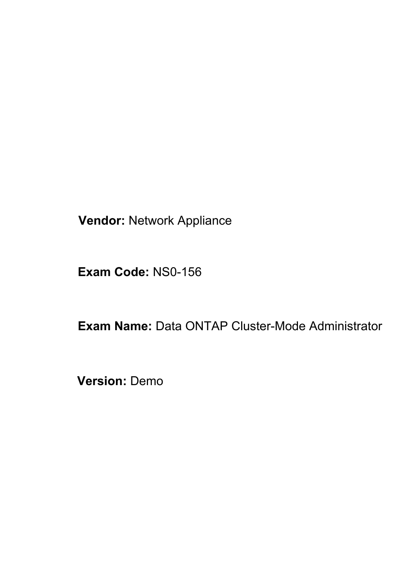**Vendor:** Network Appliance

**Exam Code:** NS0-156

**Exam Name:** Data ONTAP Cluster-Mode Administrator

**Version:** Demo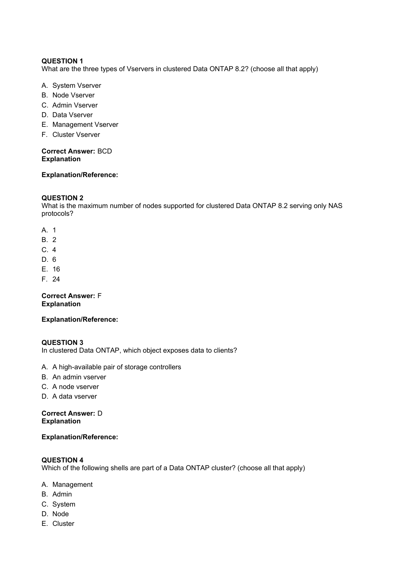What are the three types of Vservers in clustered Data ONTAP 8.2? (choose all that apply)

- A. System Vserver
- B. Node Vserver
- C. Admin Vserver
- D. Data Vserver
- E. Management Vserver
- F. Cluster Vserver

#### **Correct Answer:** BCD **Explanation**

#### **Explanation/Reference:**

### **QUESTION 2**

What is the maximum number of nodes supported for clustered Data ONTAP 8.2 serving only NAS protocols?

- A. 1
- B. 2
- C. 4
- D. 6
- E. 16
- F. 24

### **Correct Answer:** F **Explanation**

#### **Explanation/Reference:**

#### **QUESTION 3** In clustered Data ONTAP, which object exposes data to clients?

### A. A high-available pair of storage controllers

- B. An admin vserver
- C. A node vserver
- D. A data vserver

#### **Correct Answer:** D **Explanation**

### **Explanation/Reference:**

### **QUESTION 4**

Which of the following shells are part of a Data ONTAP cluster? (choose all that apply)

- A. Management
- B. Admin
- C. System
- D. Node
- E. Cluster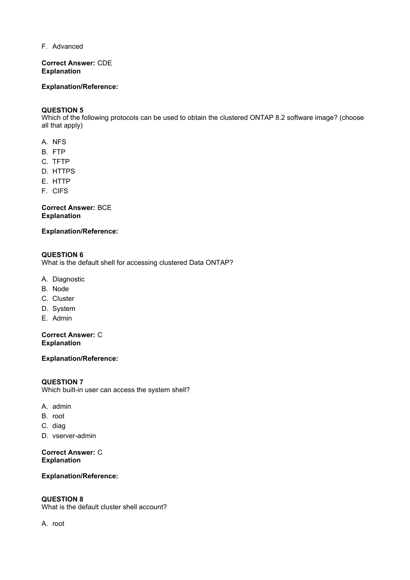F. Advanced

#### **Correct Answer:** CDE **Explanation**

### **Explanation/Reference:**

# **QUESTION 5**

Which of the following protocols can be used to obtain the clustered ONTAP 8.2 software image? (choose all that apply)

- A. NFS
- B. FTP
- C. TFTP
- D. HTTPS
- E. HTTP
- F. CIFS

**Correct Answer:** BCE **Explanation**

# **Explanation/Reference:**

# **QUESTION 6**

What is the default shell for accessing clustered Data ONTAP?

- A. Diagnostic
- B. Node
- C. Cluster
- D. System
- E. Admin

**Correct Answer:** C **Explanation**

**Explanation/Reference:**

**QUESTION 7** Which built-in user can access the system shell?

- A. admin
- B. root
- C. diag
- D. vserver-admin

**Correct Answer:** C **Explanation**

**Explanation/Reference:**

#### **QUESTION 8**

What is the default cluster shell account?

A. root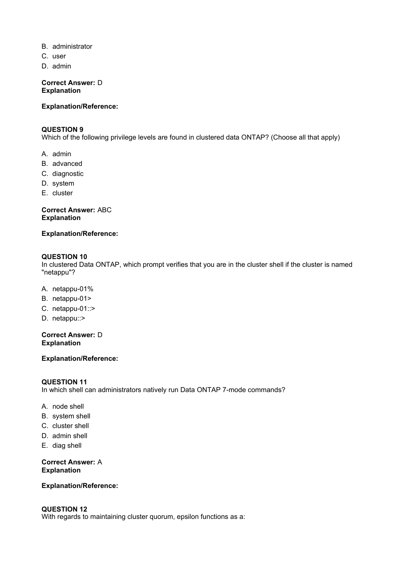- B. administrator
- C. user
- D. admin

#### **Explanation/Reference:**

#### **QUESTION 9**

Which of the following privilege levels are found in clustered data ONTAP? (Choose all that apply)

- A. admin
- B. advanced
- C. diagnostic
- D. system
- E. cluster

# **Correct Answer:** ABC **Explanation**

#### **Explanation/Reference:**

#### **QUESTION 10**

In clustered Data ONTAP, which prompt verifies that you are in the cluster shell if the cluster is named "netappu"?

- A. netappu-01%
- B. netappu-01>
- C. netappu-01::>
- D. netappu::>

**Correct Answer:** D **Explanation**

### **Explanation/Reference:**

#### **QUESTION 11**

In which shell can administrators natively run Data ONTAP 7-mode commands?

- A. node shell
- B. system shell
- C. cluster shell
- D. admin shell
- E. diag shell

**Correct Answer:** A **Explanation**

#### **Explanation/Reference:**

#### **QUESTION 12**

With regards to maintaining cluster quorum, epsilon functions as a: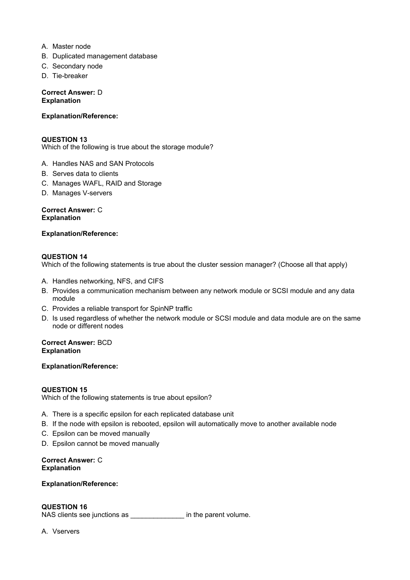- A. Master node
- B. Duplicated management database
- C. Secondary node
- D. Tie-breaker

# **Explanation/Reference:**

#### **QUESTION 13**

Which of the following is true about the storage module?

- A. Handles NAS and SAN Protocols
- B. Serves data to clients
- C. Manages WAFL, RAID and Storage
- D. Manages V-servers

**Correct Answer:** C **Explanation**

**Explanation/Reference:**

#### **QUESTION 14**

Which of the following statements is true about the cluster session manager? (Choose all that apply)

- A. Handles networking, NFS, and CIFS
- B. Provides a communication mechanism between any network module or SCSI module and any data module
- C. Provides a reliable transport for SpinNP traffic
- D. Is used regardless of whether the network module or SCSI module and data module are on the same node or different nodes

#### **Correct Answer:** BCD **Explanation**

### **Explanation/Reference:**

### **QUESTION 15**

Which of the following statements is true about epsilon?

- A. There is a specific epsilon for each replicated database unit
- B. If the node with epsilon is rebooted, epsilon will automatically move to another available node
- C. Epsilon can be moved manually
- D. Epsilon cannot be moved manually

#### **Correct Answer:** C **Explanation**

#### **Explanation/Reference:**

#### **QUESTION 16**

NAS clients see junctions as \_\_\_\_\_\_\_\_\_\_\_\_\_\_ in the parent volume.

A. Vservers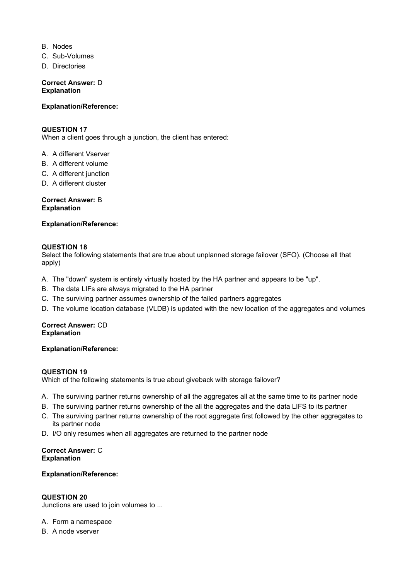- B. Nodes
- C. Sub-Volumes
- D. Directories

#### **Explanation/Reference:**

#### **QUESTION 17**

When a client goes through a junction, the client has entered:

- A. A different Vserver
- B. A different volume
- C. A different junction
- D. A different cluster

#### **Correct Answer:** B **Explanation**

#### **Explanation/Reference:**

#### **QUESTION 18**

Select the following statements that are true about unplanned storage failover (SFO). (Choose all that apply)

- A. The "down" system is entirely virtually hosted by the HA partner and appears to be "up".
- B. The data LIFs are always migrated to the HA partner
- C. The surviving partner assumes ownership of the failed partners aggregates
- D. The volume location database (VLDB) is updated with the new location of the aggregates and volumes

#### **Correct Answer:** CD **Explanation**

### **Explanation/Reference:**

### **QUESTION 19**

Which of the following statements is true about giveback with storage failover?

- A. The surviving partner returns ownership of all the aggregates all at the same time to its partner node
- B. The surviving partner returns ownership of the all the aggregates and the data LIFS to its partner
- C. The surviving partner returns ownership of the root aggregate first followed by the other aggregates to its partner node
- D. I/O only resumes when all aggregates are returned to the partner node

#### **Correct Answer:** C **Explanation**

### **Explanation/Reference:**

### **QUESTION 20**

Junctions are used to join volumes to ...

#### A. Form a namespace

B. A node vserver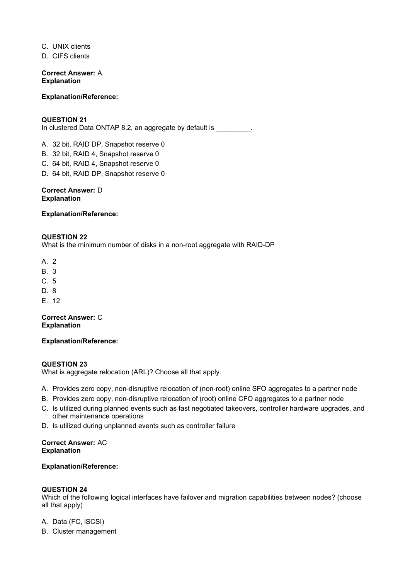- C. UNIX clients
- D. CIFS clients

#### **Explanation/Reference:**

#### **QUESTION 21**

In clustered Data ONTAP 8.2, an aggregate by default is \_\_\_\_\_\_\_\_\_.

A. 32 bit, RAID DP, Snapshot reserve 0

- B. 32 bit, RAID 4, Snapshot reserve 0
- C. 64 bit, RAID 4, Snapshot reserve 0
- D. 64 bit, RAID DP, Snapshot reserve 0

# **Correct Answer:** D

**Explanation**

#### **Explanation/Reference:**

#### **QUESTION 22**

What is the minimum number of disks in a non-root aggregate with RAID-DP

- A. 2
- B. 3
- C. 5
- D. 8
- E. 12

**Correct Answer:** C **Explanation**

### **Explanation/Reference:**

#### **QUESTION 23**

What is aggregate relocation (ARL)? Choose all that apply.

- A. Provides zero copy, non-disruptive relocation of (non-root) online SFO aggregates to a partner node
- B. Provides zero copy, non-disruptive relocation of (root) online CFO aggregates to a partner node
- C. Is utilized during planned events such as fast negotiated takeovers, controller hardware upgrades, and other maintenance operations
- D. Is utilized during unplanned events such as controller failure

#### **Correct Answer:** AC **Explanation**

### **Explanation/Reference:**

### **QUESTION 24**

Which of the following logical interfaces have failover and migration capabilities between nodes? (choose all that apply)

A. Data (FC, iSCSI)

B. Cluster management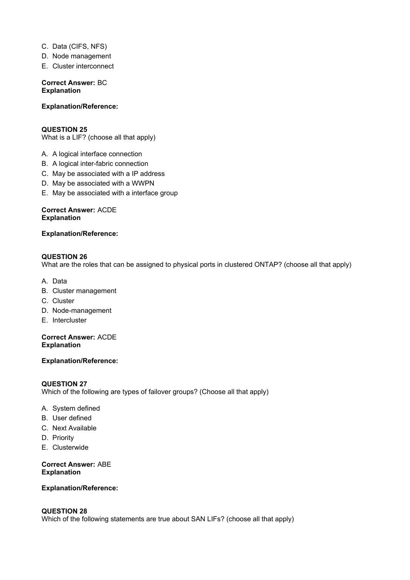- C. Data (CIFS, NFS)
- D. Node management
- E. Cluster interconnect

**Explanation/Reference:**

### **QUESTION 25**

What is a LIF? (choose all that apply)

- A. A logical interface connection
- B. A logical inter-fabric connection
- C. May be associated with a IP address
- D. May be associated with a WWPN
- E. May be associated with a interface group

#### **Correct Answer:** ACDE **Explanation**

**Explanation/Reference:**

### **QUESTION 26**

What are the roles that can be assigned to physical ports in clustered ONTAP? (choose all that apply)

- A. Data
- B. Cluster management
- C. Cluster
- D. Node-management
- E. Intercluster

# **Correct Answer:** ACDE **Explanation**

### **Explanation/Reference:**

#### **QUESTION 27** Which of the following are types of failover groups? (Choose all that apply)

- A. System defined
- B. User defined
- C. Next Available
- D. Priority
- E. Clusterwide

#### **Correct Answer:** ABE **Explanation**

### **Explanation/Reference:**

#### **QUESTION 28**

Which of the following statements are true about SAN LIFs? (choose all that apply)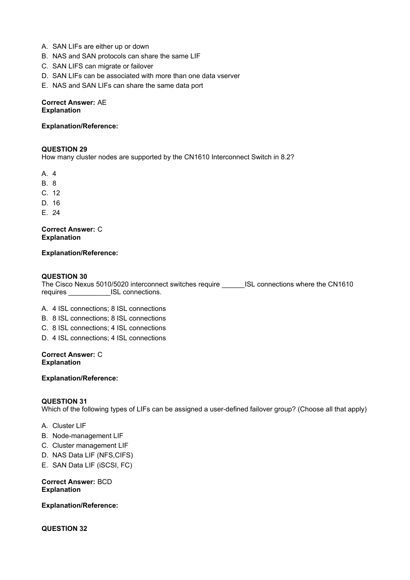- A. SAN LIFs are either up or down
- B. NAS and SAN protocols can share the same LIF
- C. SAN LIFS can migrate or failover
- D. SAN LIFs can be associated with more than one data vserver
- E. NAS and SAN LIFs can share the same data port

#### **Explanation/Reference:**

#### **QUESTION 29**

How many cluster nodes are supported by the CN1610 Interconnect Switch in 8.2?

A. 4

- B. 8
- C. 12
- D. 16
- E. 24

**Correct Answer:** C **Explanation**

#### **Explanation/Reference:**

#### **QUESTION 30**

The Cisco Nexus 5010/5020 interconnect switches require \_\_\_\_\_\_ISL connections where the CN1610 requires \_\_\_\_\_\_\_\_\_\_\_ISL connections.

A. 4 ISL connections; 8 ISL connections

- B. 8 ISL connections; 8 ISL connections
- C. 8 ISL connections; 4 ISL connections
- D. 4 ISL connections; 4 ISL connections

**Correct Answer:** C **Explanation**

#### **Explanation/Reference:**

#### **QUESTION 31**

Which of the following types of LIFs can be assigned a user-defined failover group? (Choose all that apply)

### A. Cluster LIF

- B. Node-management LIF
- C. Cluster management LIF
- D. NAS Data LIF (NFS,CIFS)
- E. SAN Data LIF (iSCSI, FC)

#### **Correct Answer:** BCD **Explanation**

### **Explanation/Reference:**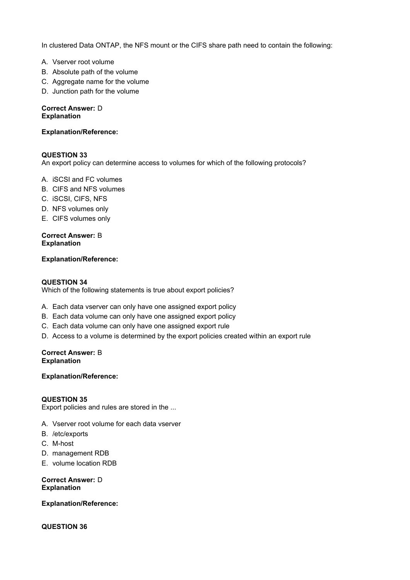In clustered Data ONTAP, the NFS mount or the CIFS share path need to contain the following:

- A. Vserver root volume
- B. Absolute path of the volume
- C. Aggregate name for the volume
- D. Junction path for the volume

# **Correct Answer:** D **Explanation**

# **Explanation/Reference:**

# **QUESTION 33**

An export policy can determine access to volumes for which of the following protocols?

- A. iSCSI and FC volumes
- B. CIFS and NFS volumes
- C. iSCSI, CIFS, NFS
- D. NFS volumes only
- E. CIFS volumes only

# **Correct Answer:** B **Explanation**

### **Explanation/Reference:**

### **QUESTION 34**

Which of the following statements is true about export policies?

- A. Each data vserver can only have one assigned export policy
- B. Each data volume can only have one assigned export policy
- C. Each data volume can only have one assigned export rule
- D. Access to a volume is determined by the export policies created within an export rule

#### **Correct Answer:** B **Explanation**

### **Explanation/Reference:**

### **QUESTION 35**

Export policies and rules are stored in the ...

- A. Vserver root volume for each data vserver
- B. /etc/exports
- C. M-host
- D. management RDB
- E. volume location RDB

**Correct Answer:** D **Explanation**

### **Explanation/Reference:**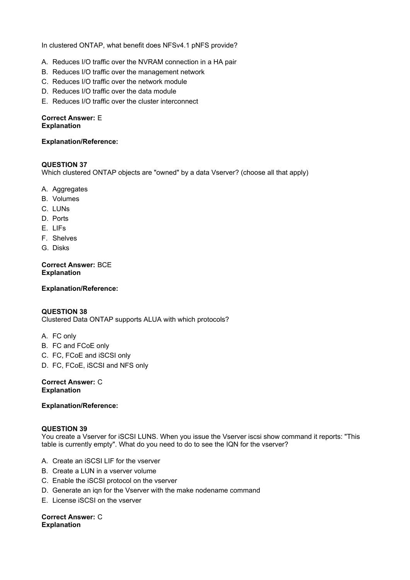In clustered ONTAP, what benefit does NFSv4.1 pNFS provide?

- A. Reduces I/O traffic over the NVRAM connection in a HA pair
- B. Reduces I/O traffic over the management network
- C. Reduces I/O traffic over the network module
- D. Reduces I/O traffic over the data module
- E. Reduces I/O traffic over the cluster interconnect

#### **Correct Answer:** E **Explanation**

#### **Explanation/Reference:**

### **QUESTION 37**

Which clustered ONTAP objects are "owned" by a data Vserver? (choose all that apply)

#### A. Aggregates

- B. Volumes
- C. LUNs
- D. Ports
- E. LIFs
- F. Shelves
- G. Disks

#### **Correct Answer:** BCE **Explanation**

#### **Explanation/Reference:**

### **QUESTION 38**

Clustered Data ONTAP supports ALUA with which protocols?

### A. FC only

- B. FC and FCoE only
- C. FC, FCoE and iSCSI only
- D. FC, FCoE, iSCSI and NFS only

#### **Correct Answer:** C **Explanation**

#### **Explanation/Reference:**

#### **QUESTION 39**

You create a Vserver for iSCSI LUNS. When you issue the Vserver iscsi show command it reports: "This table is currently empty". What do you need to do to see the IQN for the vserver?

- A. Create an iSCSI LIF for the vserver
- B. Create a LUN in a vserver volume
- C. Enable the iSCSI protocol on the vserver
- D. Generate an ign for the Vserver with the make nodename command
- E. License iSCSI on the vserver

#### **Correct Answer:** C **Explanation**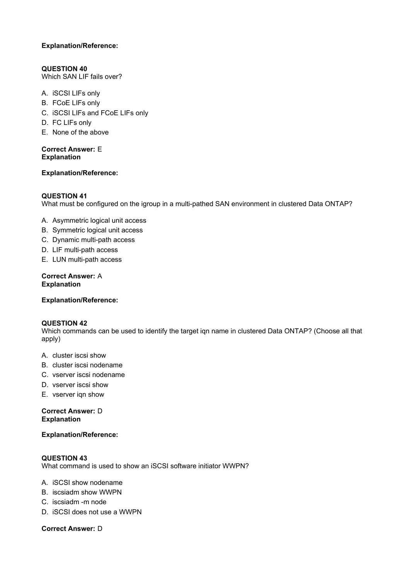# **Explanation/Reference:**

# **QUESTION 40**

Which SAN LIF fails over?

- A. iSCSI LIFs only
- B. FCoE LIFs only
- C. iSCSI LIFs and FCoE LIFs only
- D. FC LIFs only
- E. None of the above

**Correct Answer:** E **Explanation**

### **Explanation/Reference:**

# **QUESTION 41**

What must be configured on the igroup in a multi-pathed SAN environment in clustered Data ONTAP?

- A. Asymmetric logical unit access
- B. Symmetric logical unit access
- C. Dynamic multi-path access
- D. LIF multi-path access
- E. LUN multi-path access

#### **Correct Answer:** A **Explanation**

### **Explanation/Reference:**

### **QUESTION 42**

Which commands can be used to identify the target iqn name in clustered Data ONTAP? (Choose all that apply)

- A. cluster iscsi show
- B. cluster iscsi nodename
- C. vserver iscsi nodename
- D. vserver iscsi show
- E. vserver ign show

#### **Correct Answer:** D **Explanation**

### **Explanation/Reference:**

### **QUESTION 43**

What command is used to show an iSCSI software initiator WWPN?

- A. iSCSI show nodename
- B. iscsiadm show WWPN
- C. iscsiadm -m node
- D. iSCSI does not use a WWPN

### **Correct Answer:** D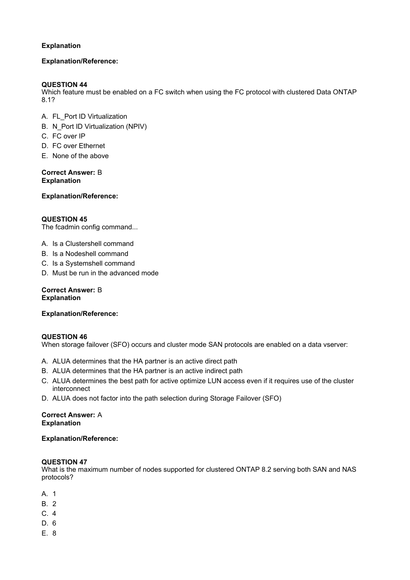# **Explanation**

### **Explanation/Reference:**

# **QUESTION 44**

Which feature must be enabled on a FC switch when using the FC protocol with clustered Data ONTAP 8.1?

- A. FL\_Port ID Virtualization
- B. N\_Port ID Virtualization (NPIV)
- C. FC over IP
- D. FC over Ethernet
- E. None of the above

#### **Correct Answer:** B **Explanation**

**Explanation/Reference:**

# **QUESTION 45**

The fcadmin config command...

- A. Is a Clustershell command
- B. Is a Nodeshell command
- C. Is a Systemshell command
- D. Must be run in the advanced mode

#### **Correct Answer:** B **Explanation**

### **Explanation/Reference:**

### **QUESTION 46**

When storage failover (SFO) occurs and cluster mode SAN protocols are enabled on a data vserver:

- A. ALUA determines that the HA partner is an active direct path
- B. ALUA determines that the HA partner is an active indirect path
- C. ALUA determines the best path for active optimize LUN access even if it requires use of the cluster interconnect
- D. ALUA does not factor into the path selection during Storage Failover (SFO)

#### **Correct Answer:** A **Explanation**

### **Explanation/Reference:**

### **QUESTION 47**

What is the maximum number of nodes supported for clustered ONTAP 8.2 serving both SAN and NAS protocols?

- A. 1
- B. 2
- C. 4
- D. 6
- E. 8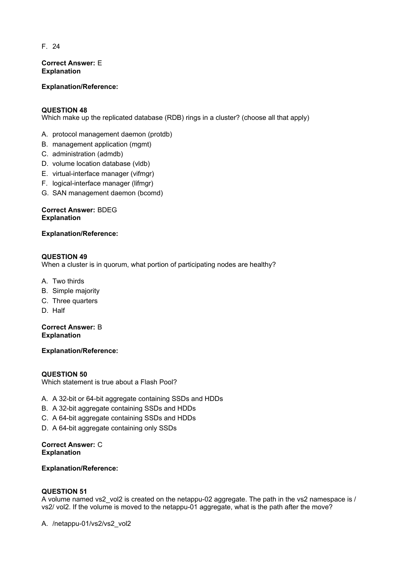F. 24

**Correct Answer:** E **Explanation**

**Explanation/Reference:**

#### **QUESTION 48**

Which make up the replicated database (RDB) rings in a cluster? (choose all that apply)

- A. protocol management daemon (protdb)
- B. management application (mgmt)
- C. administration (admdb)
- D. volume location database (vldb)
- E. virtual-interface manager (vifmgr)
- F. logical-interface manager (lifmgr)
- G. SAN management daemon (bcomd)

**Correct Answer:** BDEG **Explanation**

**Explanation/Reference:**

#### **QUESTION 49**

When a cluster is in quorum, what portion of participating nodes are healthy?

- A. Two thirds
- B. Simple majority
- C. Three quarters
- D. Half

**Correct Answer:** B **Explanation**

**Explanation/Reference:**

### **QUESTION 50**

Which statement is true about a Flash Pool?

- A. A 32-bit or 64-bit aggregate containing SSDs and HDDs
- B. A 32-bit aggregate containing SSDs and HDDs
- C. A 64-bit aggregate containing SSDs and HDDs
- D. A 64-bit aggregate containing only SSDs

#### **Correct Answer:** C **Explanation**

### **Explanation/Reference:**

### **QUESTION 51**

A volume named vs2 vol2 is created on the netappu-02 aggregate. The path in the vs2 namespace is / vs2/ vol2. If the volume is moved to the netappu-01 aggregate, what is the path after the move?

A. /netappu-01/vs2/vs2\_vol2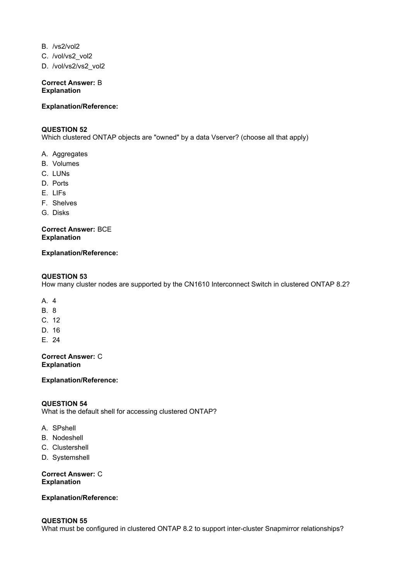- B. /vs2/vol2
- C. /vol/vs2\_vol2
- D. /vol/vs2/vs2\_vol2

#### **Explanation/Reference:**

#### **QUESTION 52**

Which clustered ONTAP objects are "owned" by a data Vserver? (choose all that apply)

- A. Aggregates
- B. Volumes
- C. LUNs
- D. Ports
- E. LIFs
- F. Shelves
- G. Disks

#### **Correct Answer:** BCE **Explanation**

### **Explanation/Reference:**

#### **QUESTION 53**

How many cluster nodes are supported by the CN1610 Interconnect Switch in clustered ONTAP 8.2?

- A. 4
- B. 8
- C. 12
- D. 16
- E. 24

**Correct Answer:** C **Explanation**

# **Explanation/Reference:**

#### **QUESTION 54**

What is the default shell for accessing clustered ONTAP?

- A. SPshell
- B. Nodeshell
- C. Clustershell
- D. Systemshell

**Correct Answer:** C **Explanation**

#### **Explanation/Reference:**

### **QUESTION 55**

What must be configured in clustered ONTAP 8.2 to support inter-cluster Snapmirror relationships?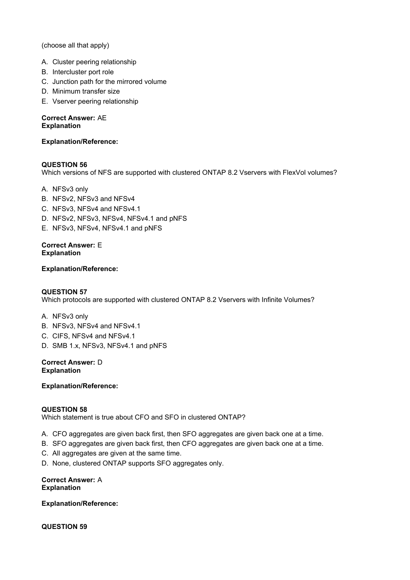(choose all that apply)

- A. Cluster peering relationship
- B. Intercluster port role
- C. Junction path for the mirrored volume
- D. Minimum transfer size
- E. Vserver peering relationship

#### **Correct Answer:** AE **Explanation**

#### **Explanation/Reference:**

#### **QUESTION 56**

Which versions of NFS are supported with clustered ONTAP 8.2 Vservers with FlexVol volumes?

- A. NFSv3 only
- B. NFSv2, NFSv3 and NFSv4
- C. NFSv3, NFSv4 and NFSv4.1
- D. NFSv2, NFSv3, NFSv4, NFSv4.1 and pNFS
- E. NFSv3, NFSv4, NFSv4.1 and pNFS

#### **Correct Answer:** E **Explanation**

#### **Explanation/Reference:**

### **QUESTION 57**

Which protocols are supported with clustered ONTAP 8.2 Vservers with Infinite Volumes?

- A. NFSv3 only
- B. NFSv3, NFSv4 and NFSv4.1
- C. CIFS, NFSv4 and NFSv4.1
- D. SMB 1.x, NFSv3, NFSv4.1 and pNFS

#### **Correct Answer:** D **Explanation**

#### **Explanation/Reference:**

#### **QUESTION 58**

Which statement is true about CFO and SFO in clustered ONTAP?

- A. CFO aggregates are given back first, then SFO aggregates are given back one at a time.
- B. SFO aggregates are given back first, then CFO aggregates are given back one at a time.
- C. All aggregates are given at the same time.
- D. None, clustered ONTAP supports SFO aggregates only.

#### **Correct Answer:** A **Explanation**

### **Explanation/Reference:**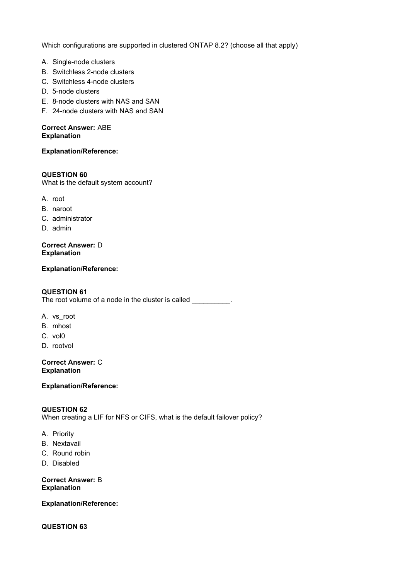Which configurations are supported in clustered ONTAP 8.2? (choose all that apply)

- A. Single-node clusters
- B. Switchless 2-node clusters
- C. Switchless 4-node clusters
- D. 5-node clusters
- E. 8-node clusters with NAS and SAN
- F. 24-node clusters with NAS and SAN

#### **Correct Answer:** ABE **Explanation**

**Explanation/Reference:**

#### **QUESTION 60** What is the default system account?

A. root

- B. naroot
- C. administrator
- D. admin

**Correct Answer:** D **Explanation**

**Explanation/Reference:**

# **QUESTION 61**

The root volume of a node in the cluster is called  $\qquad \qquad$ .

- A. vs\_root
- B. mhost
- C. vol0
- D. rootvol

**Correct Answer:** C **Explanation**

**Explanation/Reference:**

### **QUESTION 62**

When creating a LIF for NFS or CIFS, what is the default failover policy?

- A. Priority
- B. Nextavail
- C. Round robin
- D. Disabled

**Correct Answer:** B **Explanation**

**Explanation/Reference:**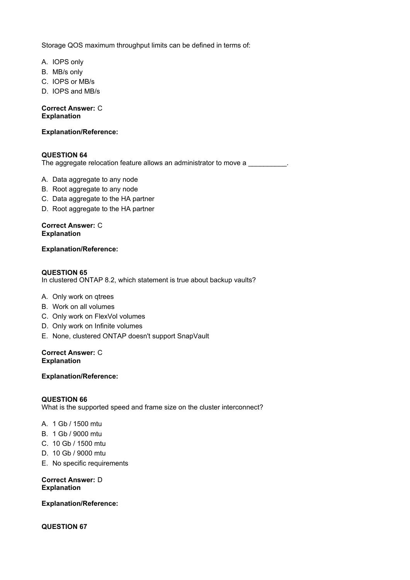Storage QOS maximum throughput limits can be defined in terms of:

- A. IOPS only
- B. MB/s only
- C. IOPS or MB/s
- D. IOPS and MB/s

# **Correct Answer:** C **Explanation**

# **Explanation/Reference:**

# **QUESTION 64**

The aggregate relocation feature allows an administrator to move a  $\blacksquare$ 

- A. Data aggregate to any node
- B. Root aggregate to any node
- C. Data aggregate to the HA partner
- D. Root aggregate to the HA partner

### **Correct Answer:** C **Explanation**

### **Explanation/Reference:**

# **QUESTION 65**

In clustered ONTAP 8.2, which statement is true about backup vaults?

- A. Only work on qtrees
- B. Work on all volumes
- C. Only work on FlexVol volumes
- D. Only work on Infinite volumes
- E. None, clustered ONTAP doesn't support SnapVault

#### **Correct Answer:** C **Explanation**

### **Explanation/Reference:**

### **QUESTION 66**

What is the supported speed and frame size on the cluster interconnect?

### A. 1 Gb / 1500 mtu

- B. 1 Gb / 9000 mtu
- C. 10 Gb / 1500 mtu
- D. 10 Gb / 9000 mtu
- E. No specific requirements

#### **Correct Answer:** D **Explanation**

# **Explanation/Reference:**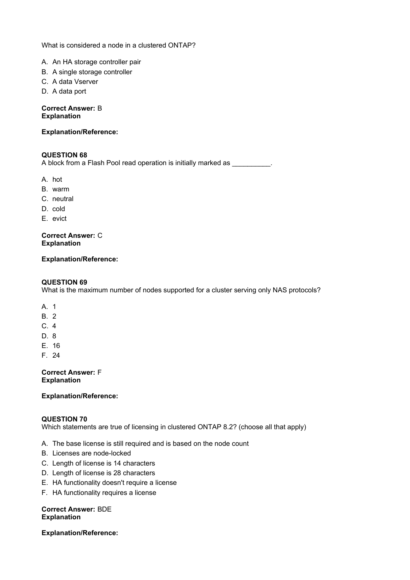What is considered a node in a clustered ONTAP?

- A. An HA storage controller pair
- B. A single storage controller
- C. A data Vserver
- D. A data port

**Correct Answer:** B **Explanation**

# **Explanation/Reference:**

#### **QUESTION 68**

A block from a Flash Pool read operation is initially marked as  $\sim$ 

- A. hot
- B. warm
- C. neutral
- D. cold
- E. evict

**Correct Answer:** C **Explanation**

#### **Explanation/Reference:**

#### **QUESTION 69**

What is the maximum number of nodes supported for a cluster serving only NAS protocols?

- A. 1
- B. 2
- C. 4
- D. 8
- E. 16
- F. 24

**Correct Answer:** F **Explanation**

#### **Explanation/Reference:**

### **QUESTION 70**

Which statements are true of licensing in clustered ONTAP 8.2? (choose all that apply)

- A. The base license is still required and is based on the node count
- B. Licenses are node-locked
- C. Length of license is 14 characters
- D. Length of license is 28 characters
- E. HA functionality doesn't require a license
- F. HA functionality requires a license

**Correct Answer:** BDE **Explanation**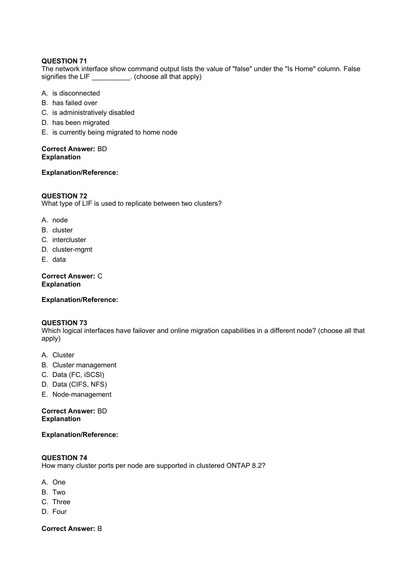The network interface show command output lists the value of "false" under the "Is Home" column. False signifies the LIF \_\_\_\_\_\_\_\_\_\_. (choose all that apply)

- A. is disconnected
- B. has failed over
- C. is administratively disabled
- D. has been migrated
- E. is currently being migrated to home node

#### **Correct Answer:** BD **Explanation**

### **Explanation/Reference:**

# **QUESTION 72**

What type of LIF is used to replicate between two clusters?

- A. node
- B. cluster
- C. intercluster
- D. cluster-mgmt
- E. data

#### **Correct Answer:** C **Explanation**

### **Explanation/Reference:**

### **QUESTION 73**

Which logical interfaces have failover and online migration capabilities in a different node? (choose all that apply)

- A. Cluster
- B. Cluster management
- C. Data (FC, iSCSI)
- D. Data (CIFS, NFS)
- E. Node-management

#### **Correct Answer:** BD **Explanation**

### **Explanation/Reference:**

### **QUESTION 74**

How many cluster ports per node are supported in clustered ONTAP 8.2?

- A. One
- B. Two
- C. Three
- D. Four

### **Correct Answer:** B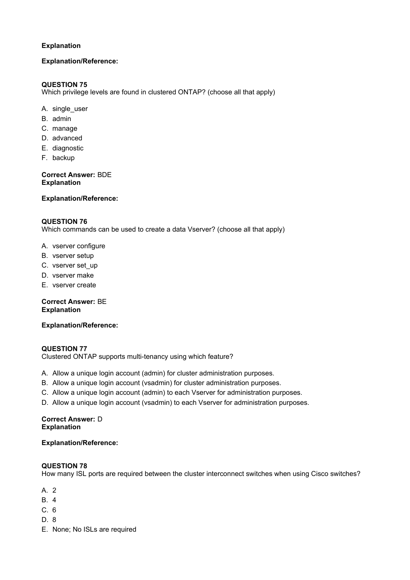# **Explanation**

### **Explanation/Reference:**

### **QUESTION 75**

Which privilege levels are found in clustered ONTAP? (choose all that apply)

- A. single\_user
- B. admin
- C. manage
- D. advanced
- E. diagnostic
- F. backup

#### **Correct Answer:** BDE **Explanation**

# **Explanation/Reference:**

#### **QUESTION 76**

Which commands can be used to create a data Vserver? (choose all that apply)

- A. vserver configure
- B. vserver setup
- C. vserver set\_up
- D. vserver make
- E. vserver create

### **Correct Answer:** BE **Explanation**

### **Explanation/Reference:**

### **QUESTION 77**

Clustered ONTAP supports multi-tenancy using which feature?

- A. Allow a unique login account (admin) for cluster administration purposes.
- B. Allow a unique login account (vsadmin) for cluster administration purposes.
- C. Allow a unique login account (admin) to each Vserver for administration purposes.
- D. Allow a unique login account (vsadmin) to each Vserver for administration purposes.

#### **Correct Answer:** D **Explanation**

### **Explanation/Reference:**

### **QUESTION 78**

How many ISL ports are required between the cluster interconnect switches when using Cisco switches?

- A. 2
- B. 4
- C. 6
- D. 8
- E. None; No ISLs are required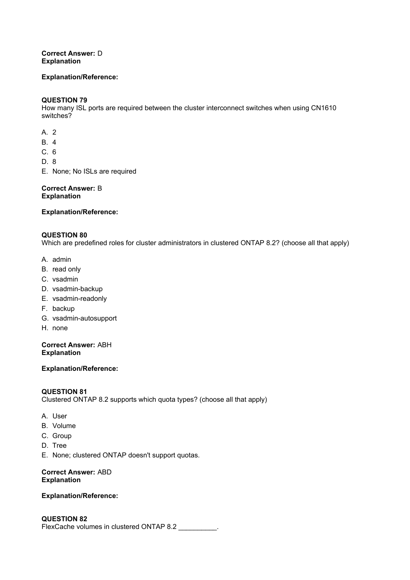# **Explanation/Reference:**

# **QUESTION 79**

How many ISL ports are required between the cluster interconnect switches when using CN1610 switches?

- A. 2
- B. 4
- C. 6
- D. 8
- E. None; No ISLs are required

#### **Correct Answer:** B **Explanation**

# **Explanation/Reference:**

### **QUESTION 80**

Which are predefined roles for cluster administrators in clustered ONTAP 8.2? (choose all that apply)

- A. admin
- B. read only
- C. vsadmin
- D. vsadmin-backup
- E. vsadmin-readonly
- F. backup
- G. vsadmin-autosupport
- H. none

#### **Correct Answer:** ABH **Explanation**

### **Explanation/Reference:**

### **QUESTION 81**

Clustered ONTAP 8.2 supports which quota types? (choose all that apply)

- A. User
- B. Volume
- C. Group
- D. Tree
- E. None; clustered ONTAP doesn't support quotas.

#### **Correct Answer:** ABD **Explanation**

### **Explanation/Reference:**

**QUESTION 82** FlexCache volumes in clustered ONTAP 8.2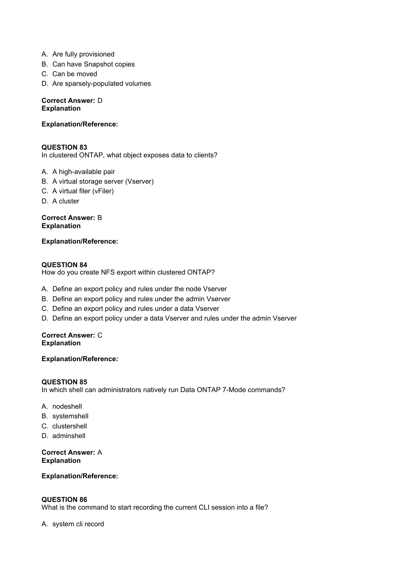- A. Are fully provisioned
- B. Can have Snapshot copies
- C. Can be moved
- D. Are sparsely-populated volumes

# **Explanation/Reference:**

#### **QUESTION 83** In clustered ONTAP, what object exposes data to clients?

- A. A high-available pair
- B. A virtual storage server (Vserver)
- C. A virtual filer (vFiler)
- D. A cluster

#### **Correct Answer:** B **Explanation**

# **Explanation/Reference:**

### **QUESTION 84**

How do you create NFS export within clustered ONTAP?

- A. Define an export policy and rules under the node Vserver
- B. Define an export policy and rules under the admin Vserver
- C. Define an export policy and rules under a data Vserver
- D. Define an export policy under a data Vserver and rules under the admin Vserver

#### **Correct Answer:** C **Explanation**

### **Explanation/Reference:**

### **QUESTION 85**

In which shell can administrators natively run Data ONTAP 7-Mode commands?

- A. nodeshell
- B. systemshell
- C. clustershell
- D. adminshell

### **Correct Answer:** A **Explanation**

# **Explanation/Reference:**

### **QUESTION 86**

What is the command to start recording the current CLI session into a file?

A. system cli record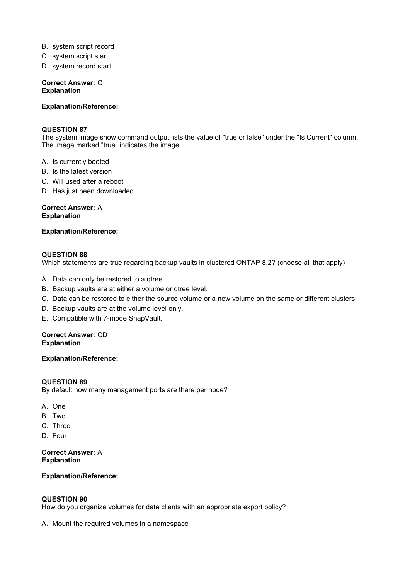- B. system script record
- C. system script start
- D. system record start

#### **Explanation/Reference:**

#### **QUESTION 87**

The system image show command output lists the value of "true or false" under the "Is Current" column. The image marked "true" indicates the image:

- A. Is currently booted
- B. Is the latest version
- C. Will used after a reboot
- D. Has just been downloaded

#### **Correct Answer:** A **Explanation**

#### **Explanation/Reference:**

#### **QUESTION 88**

Which statements are true regarding backup vaults in clustered ONTAP 8.2? (choose all that apply)

- A. Data can only be restored to a qtree.
- B. Backup vaults are at either a volume or qtree level.
- C. Data can be restored to either the source volume or a new volume on the same or different clusters
- D. Backup vaults are at the volume level only.
- E. Compatible with 7-mode SnapVault.

#### **Correct Answer:** CD **Explanation**

#### **Explanation/Reference:**

#### **QUESTION 89**

By default how many management ports are there per node?

- A. One
- B. Two
- C. Three
- D. Four

#### **Correct Answer:** A **Explanation**

#### **Explanation/Reference:**

#### **QUESTION 90**

How do you organize volumes for data clients with an appropriate export policy?

A. Mount the required volumes in a namespace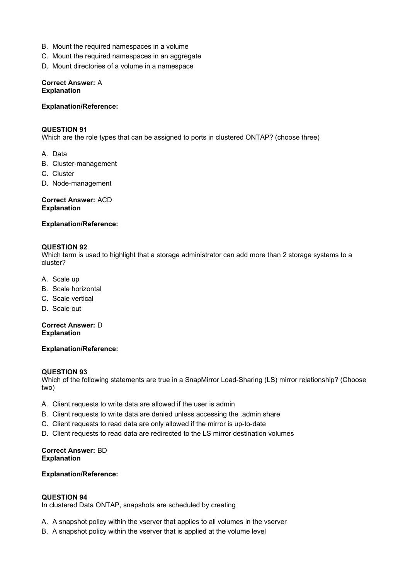- B. Mount the required namespaces in a volume
- C. Mount the required namespaces in an aggregate
- D. Mount directories of a volume in a namespace

#### **Explanation/Reference:**

#### **QUESTION 91**

Which are the role types that can be assigned to ports in clustered ONTAP? (choose three)

- A. Data
- B. Cluster-management
- C. Cluster
- D. Node-management

#### **Correct Answer:** ACD **Explanation**

#### **Explanation/Reference:**

#### **QUESTION 92**

Which term is used to highlight that a storage administrator can add more than 2 storage systems to a cluster?

- A. Scale up
- B. Scale horizontal
- C. Scale vertical
- D. Scale out

**Correct Answer:** D **Explanation**

#### **Explanation/Reference:**

### **QUESTION 93**

Which of the following statements are true in a SnapMirror Load-Sharing (LS) mirror relationship? (Choose two)

- A. Client requests to write data are allowed if the user is admin
- B. Client requests to write data are denied unless accessing the .admin share
- C. Client requests to read data are only allowed if the mirror is up-to-date
- D. Client requests to read data are redirected to the LS mirror destination volumes

#### **Correct Answer:** BD **Explanation**

# **Explanation/Reference:**

### **QUESTION 94**

In clustered Data ONTAP, snapshots are scheduled by creating

- A. A snapshot policy within the vserver that applies to all volumes in the vserver
- B. A snapshot policy within the vserver that is applied at the volume level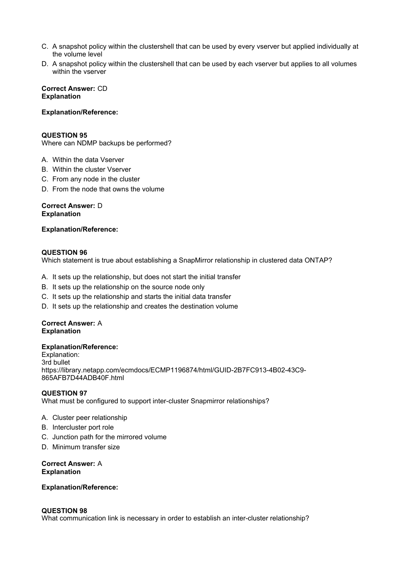- C. A snapshot policy within the clustershell that can be used by every vserver but applied individually at the volume level
- D. A snapshot policy within the clustershell that can be used by each vserver but applies to all volumes within the vserver

#### **Explanation/Reference:**

#### **QUESTION 95**

Where can NDMP backups be performed?

- A. Within the data Vserver
- B. Within the cluster Vserver
- C. From any node in the cluster
- D. From the node that owns the volume

#### **Correct Answer:** D **Explanation**

#### **Explanation/Reference:**

#### **QUESTION 96**

Which statement is true about establishing a SnapMirror relationship in clustered data ONTAP?

- A. It sets up the relationship, but does not start the initial transfer
- B. It sets up the relationship on the source node only
- C. It sets up the relationship and starts the initial data transfer
- D. It sets up the relationship and creates the destination volume

#### **Correct Answer:** A **Explanation**

#### **Explanation/Reference:**

Explanation: 3rd bullet https://library.netapp.com/ecmdocs/ECMP1196874/html/GUID-2B7FC913-4B02-43C9- 865AFB7D44ADB40F.html

#### **QUESTION 97**

What must be configured to support inter-cluster Snapmirror relationships?

- A. Cluster peer relationship
- B. Intercluster port role
- C. Junction path for the mirrored volume
- D. Minimum transfer size

#### **Correct Answer:** A **Explanation**

#### **Explanation/Reference:**

#### **QUESTION 98**

What communication link is necessary in order to establish an inter-cluster relationship?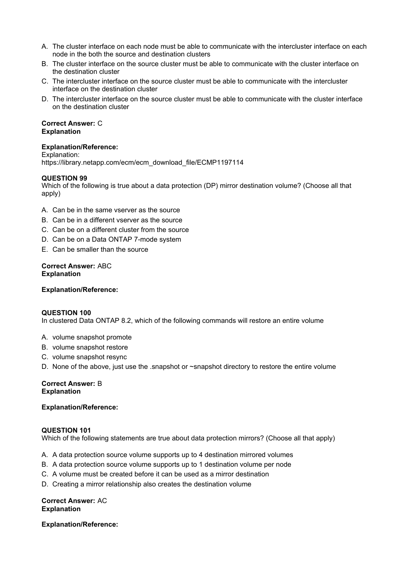- A. The cluster interface on each node must be able to communicate with the intercluster interface on each node in the both the source and destination clusters
- B. The cluster interface on the source cluster must be able to communicate with the cluster interface on the destination cluster
- C. The intercluster interface on the source cluster must be able to communicate with the intercluster interface on the destination cluster
- D. The intercluster interface on the source cluster must be able to communicate with the cluster interface on the destination cluster

### **Explanation/Reference:**

Explanation:

https://library.netapp.com/ecm/ecm\_download\_file/ECMP1197114

#### **QUESTION 99**

Which of the following is true about a data protection (DP) mirror destination volume? (Choose all that apply)

- A. Can be in the same vserver as the source
- B. Can be in a different vserver as the source
- C. Can be on a different cluster from the source
- D. Can be on a Data ONTAP 7-mode system
- E. Can be smaller than the source

#### **Correct Answer:** ABC **Explanation**

#### **Explanation/Reference:**

#### **QUESTION 100**

In clustered Data ONTAP 8.2, which of the following commands will restore an entire volume

- A. volume snapshot promote
- B. volume snapshot restore
- C. volume snapshot resync
- D. None of the above, just use the .snapshot or ~snapshot directory to restore the entire volume

#### **Correct Answer:** B **Explanation**

### **Explanation/Reference:**

#### **QUESTION 101**

Which of the following statements are true about data protection mirrors? (Choose all that apply)

- A. A data protection source volume supports up to 4 destination mirrored volumes
- B. A data protection source volume supports up to 1 destination volume per node
- C. A volume must be created before it can be used as a mirror destination
- D. Creating a mirror relationship also creates the destination volume

#### **Correct Answer:** AC **Explanation**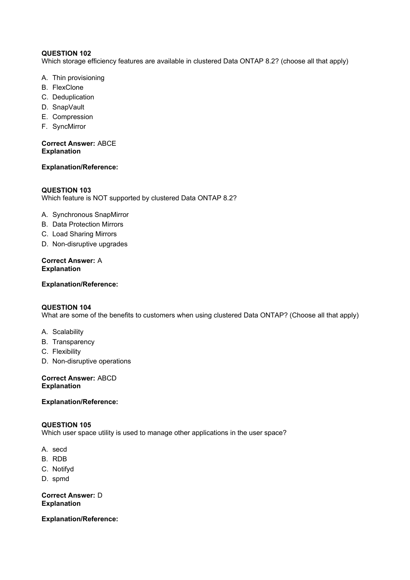Which storage efficiency features are available in clustered Data ONTAP 8.2? (choose all that apply)

- A. Thin provisioning
- B. FlexClone
- C. Deduplication
- D. SnapVault
- E. Compression
- F. SyncMirror

### **Correct Answer:** ABCE **Explanation**

# **Explanation/Reference:**

# **QUESTION 103**

Which feature is NOT supported by clustered Data ONTAP 8.2?

- A. Synchronous SnapMirror
- B. Data Protection Mirrors
- C. Load Sharing Mirrors
- D. Non-disruptive upgrades

#### **Correct Answer:** A **Explanation**

# **Explanation/Reference:**

### **QUESTION 104**

What are some of the benefits to customers when using clustered Data ONTAP? (Choose all that apply)

- A. Scalability
- B. Transparency
- C. Flexibility
- D. Non-disruptive operations

**Correct Answer:** ABCD **Explanation**

### **Explanation/Reference:**

### **QUESTION 105**

Which user space utility is used to manage other applications in the user space?

- A. secd
- B. RDB
- C. Notifyd
- D. spmd

**Correct Answer:** D **Explanation**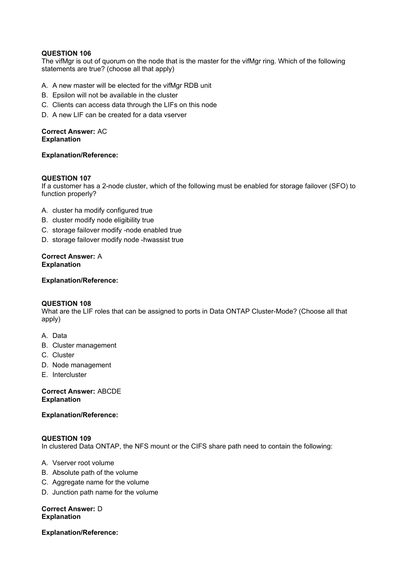The vifMgr is out of quorum on the node that is the master for the vifMgr ring. Which of the following statements are true? (choose all that apply)

- A. A new master will be elected for the vifMgr RDB unit
- B. Epsilon will not be available in the cluster
- C. Clients can access data through the LIFs on this node
- D. A new LIF can be created for a data vserver

# **Correct Answer:** AC **Explanation**

# **Explanation/Reference:**

# **QUESTION 107**

If a customer has a 2-node cluster, which of the following must be enabled for storage failover (SFO) to function properly?

- A. cluster ha modify configured true
- B. cluster modify node eligibility true
- C. storage failover modify -node enabled true
- D. storage failover modify node -hwassist true

#### **Correct Answer:** A **Explanation**

# **Explanation/Reference:**

### **QUESTION 108**

What are the LIF roles that can be assigned to ports in Data ONTAP Cluster-Mode? (Choose all that apply)

- A. Data
- B. Cluster management
- C. Cluster
- D. Node management
- E. Intercluster

#### **Correct Answer:** ABCDE **Explanation**

### **Explanation/Reference:**

### **QUESTION 109**

In clustered Data ONTAP, the NFS mount or the CIFS share path need to contain the following:

- A. Vserver root volume
- B. Absolute path of the volume
- C. Aggregate name for the volume
- D. Junction path name for the volume

#### **Correct Answer:** D **Explanation**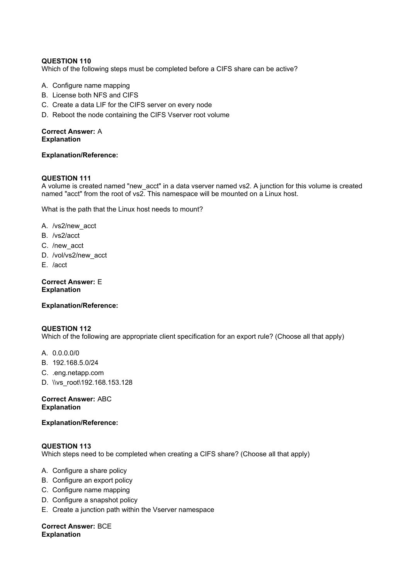Which of the following steps must be completed before a CIFS share can be active?

- A. Configure name mapping
- B. License both NFS and CIFS
- C. Create a data LIF for the CIFS server on every node
- D. Reboot the node containing the CIFS Vserver root volume

### **Correct Answer:** A **Explanation**

### **Explanation/Reference:**

### **QUESTION 111**

A volume is created named "new\_acct" in a data vserver named vs2. A junction for this volume is created named "acct" from the root of vs2. This namespace will be mounted on a Linux host.

What is the path that the Linux host needs to mount?

- A. /vs2/new\_acct
- B. /vs2/acct
- C. /new\_acct
- D. /vol/vs2/new\_acct
- E. /acct

**Correct Answer:** E **Explanation**

### **Explanation/Reference:**

### **QUESTION 112**

Which of the following are appropriate client specification for an export rule? (Choose all that apply)

- A. 0.0.0.0/0
- B. 192.168.5.0/24
- C. .eng.netapp.com
- D. \\vs\_root\192.168.153.128

### **Correct Answer:** ABC **Explanation**

### **Explanation/Reference:**

### **QUESTION 113**

Which steps need to be completed when creating a CIFS share? (Choose all that apply)

- A. Configure a share policy
- B. Configure an export policy
- C. Configure name mapping
- D. Configure a snapshot policy
- E. Create a junction path within the Vserver namespace

#### **Correct Answer:** BCE **Explanation**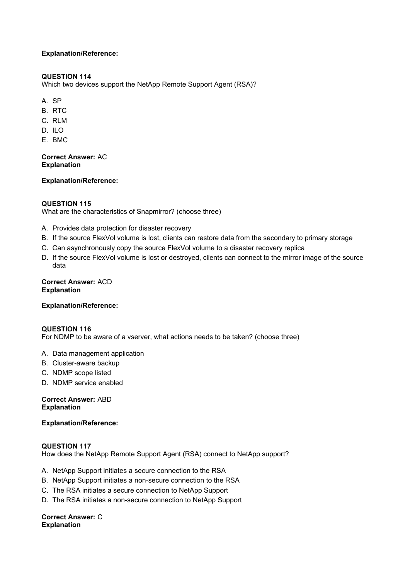# **Explanation/Reference:**

# **QUESTION 114**

Which two devices support the NetApp Remote Support Agent (RSA)?

- A. SP
- B. RTC
- C. RLM
- D. ILO
- E. BMC

**Correct Answer:** AC **Explanation**

**Explanation/Reference:**

### **QUESTION 115**

What are the characteristics of Snapmirror? (choose three)

- A. Provides data protection for disaster recovery
- B. If the source FlexVol volume is lost, clients can restore data from the secondary to primary storage
- C. Can asynchronously copy the source FlexVol volume to a disaster recovery replica
- D. If the source FlexVol volume is lost or destroyed, clients can connect to the mirror image of the source data

#### **Correct Answer:** ACD **Explanation**

# **Explanation/Reference:**

#### **QUESTION 116**

For NDMP to be aware of a vserver, what actions needs to be taken? (choose three)

- A. Data management application
- B. Cluster-aware backup
- C. NDMP scope listed
- D. NDMP service enabled

### **Correct Answer:** ABD **Explanation**

### **Explanation/Reference:**

### **QUESTION 117**

How does the NetApp Remote Support Agent (RSA) connect to NetApp support?

- A. NetApp Support initiates a secure connection to the RSA
- B. NetApp Support initiates a non-secure connection to the RSA
- C. The RSA initiates a secure connection to NetApp Support
- D. The RSA initiates a non-secure connection to NetApp Support

**Correct Answer:** C **Explanation**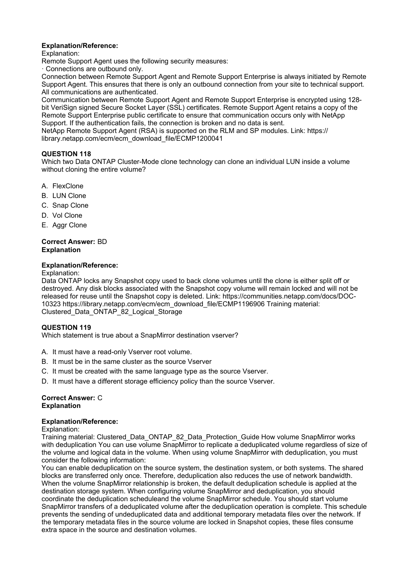#### **Explanation/Reference:**

#### Explanation:

Remote Support Agent uses the following security measures:

Connections are outbound only.

Connection between Remote Support Agent and Remote Support Enterprise is always initiated by Remote Support Agent. This ensures that there is only an outbound connection from your site to technical support. All communications are authenticated.

Communication between Remote Support Agent and Remote Support Enterprise is encrypted using 128 bit VeriSign signed Secure Socket Layer (SSL) certificates. Remote Support Agent retains a copy of the Remote Support Enterprise public certificate to ensure that communication occurs only with NetApp Support. If the authentication fails, the connection is broken and no data is sent.

NetApp Remote Support Agent (RSA) is supported on the RLM and SP modules. Link: https:// library.netapp.com/ecm/ecm\_download\_file/ECMP1200041

### **QUESTION 118**

Which two Data ONTAP Cluster-Mode clone technology can clone an individual LUN inside a volume without cloning the entire volume?

- A. FlexClone
- B. LUN Clone
- C. Snap Clone
- D. Vol Clone
- E. Aggr Clone

#### **Correct Answer:** BD **Explanation**

#### **Explanation/Reference:**

#### Explanation:

Data ONTAP locks any Snapshot copy used to back clone volumes until the clone is either split off or destroyed. Any disk blocks associated with the Snapshot copy volume will remain locked and will not be released for reuse until the Snapshot copy is deleted. Link: https://communities.netapp.com/docs/DOC-10323 https://library.netapp.com/ecm/ecm\_download\_file/ECMP1196906 Training material: Clustered\_Data\_ONTAP\_82\_Logical\_Storage

### **QUESTION 119**

Which statement is true about a SnapMirror destination vserver?

- A. It must have a read-only Vserver root volume.
- B. It must be in the same cluster as the source Vserver
- C. It must be created with the same language type as the source Vserver.
- D. It must have a different storage efficiency policy than the source Vserver.

#### **Correct Answer:** C **Explanation**

#### **Explanation/Reference:**

#### Explanation:

Training material: Clustered\_Data\_ONTAP\_82\_Data\_Protection\_Guide How volume SnapMirror works with deduplication You can use volume SnapMirror to replicate a deduplicated volume regardless of size of the volume and logical data in the volume. When using volume SnapMirror with deduplication, you must consider the following information:

You can enable deduplication on the source system, the destination system, or both systems. The shared blocks are transferred only once. Therefore, deduplication also reduces the use of network bandwidth. When the volume SnapMirror relationship is broken, the default deduplication schedule is applied at the destination storage system. When configuring volume SnapMirror and deduplication, you should coordinate the deduplication scheduleand the volume SnapMirror schedule. You should start volume SnapMirror transfers of a deduplicated volume after the deduplication operation is complete. This schedule prevents the sending of undeduplicated data and additional temporary metadata files over the network. If the temporary metadata files in the source volume are locked in Snapshot copies, these files consume extra space in the source and destination volumes.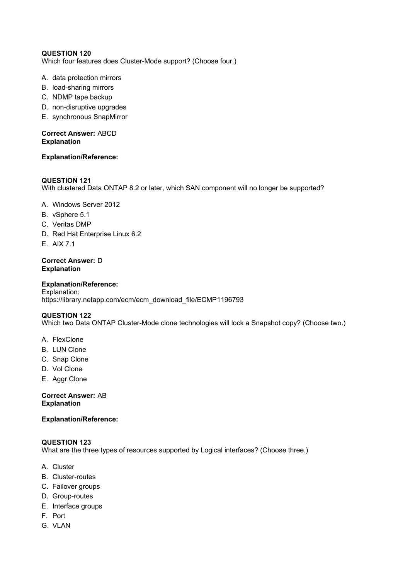Which four features does Cluster-Mode support? (Choose four.)

- A. data protection mirrors
- B. load-sharing mirrors
- C. NDMP tape backup
- D. non-disruptive upgrades
- E. synchronous SnapMirror

#### **Correct Answer:** ABCD **Explanation**

#### **Explanation/Reference:**

### **QUESTION 121**

With clustered Data ONTAP 8.2 or later, which SAN component will no longer be supported?

- A. Windows Server 2012
- B. vSphere 5.1
- C. Veritas DMP
- D. Red Hat Enterprise Linux 6.2
- E. AIX 7.1

#### **Correct Answer:** D **Explanation**

#### **Explanation/Reference:**

Explanation: https://library.netapp.com/ecm/ecm\_download\_file/ECMP1196793

### **QUESTION 122**

Which two Data ONTAP Cluster-Mode clone technologies will lock a Snapshot copy? (Choose two.)

- A. FlexClone
- B. LUN Clone
- C. Snap Clone
- D. Vol Clone
- E. Aggr Clone

**Correct Answer:** AB **Explanation**

# **Explanation/Reference:**

#### **QUESTION 123**

What are the three types of resources supported by Logical interfaces? (Choose three.)

- A. Cluster
- B. Cluster-routes
- C. Failover groups
- D. Group-routes
- E. Interface groups
- F. Port
- G. VLAN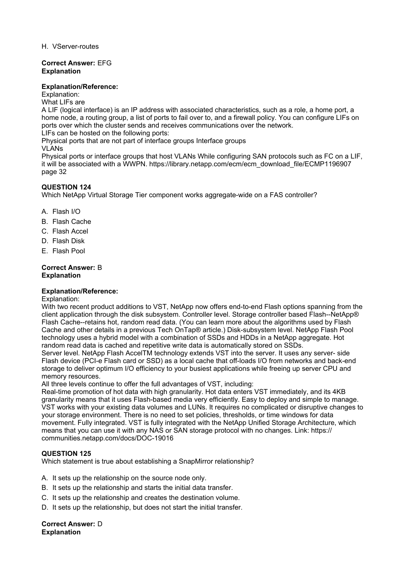H. VServer-routes

#### **Correct Answer:** EFG **Explanation**

### **Explanation/Reference:**

Explanation:

What LIFs are

A LIF (logical interface) is an IP address with associated characteristics, such as a role, a home port, a home node, a routing group, a list of ports to fail over to, and a firewall policy. You can configure LIFs on ports over which the cluster sends and receives communications over the network. LIFs can be hosted on the following ports:

Physical ports that are not part of interface groups Interface groups

VLANs

Physical ports or interface groups that host VLANs While configuring SAN protocols such as FC on a LIF. it will be associated with a WWPN. https://library.netapp.com/ecm/ecm\_download\_file/ECMP1196907 page 32

# **QUESTION 124**

Which NetApp Virtual Storage Tier component works aggregate-wide on a FAS controller?

- A. Flash I/O
- B. Flash Cache
- C. Flash Accel
- D. Flash Disk
- E. Flash Pool

#### **Correct Answer:** B **Explanation**

### **Explanation/Reference:**

#### Explanation:

With two recent product additions to VST, NetApp now offers end-to-end Flash options spanning from the client application through the disk subsystem. Controller level. Storage controller based Flash--NetApp® Flash Cache--retains hot, random read data. (You can learn more about the algorithms used by Flash Cache and other details in a previous Tech OnTap® article.) Disk-subsystem level. NetApp Flash Pool technology uses a hybrid model with a combination of SSDs and HDDs in a NetApp aggregate. Hot random read data is cached and repetitive write data is automatically stored on SSDs. Server level. NetApp Flash AccelTM technology extends VST into the server. It uses any server- side Flash device (PCI-e Flash card or SSD) as a local cache that off-loads I/O from networks and back-end

storage to deliver optimum I/O efficiency to your busiest applications while freeing up server CPU and memory resources.

All three levels continue to offer the full advantages of VST, including:

Real-time promotion of hot data with high granularity. Hot data enters VST immediately, and its 4KB granularity means that it uses Flash-based media very efficiently. Easy to deploy and simple to manage. VST works with your existing data volumes and LUNs. It requires no complicated or disruptive changes to your storage environment. There is no need to set policies, thresholds, or time windows for data movement. Fully integrated. VST is fully integrated with the NetApp Unified Storage Architecture, which means that you can use it with any NAS or SAN storage protocol with no changes. Link: https:// communities.netapp.com/docs/DOC-19016

### **QUESTION 125**

Which statement is true about establishing a SnapMirror relationship?

- A. It sets up the relationship on the source node only.
- B. It sets up the relationship and starts the initial data transfer.
- C. It sets up the relationship and creates the destination volume.
- D. It sets up the relationship, but does not start the initial transfer.

**Correct Answer:** D **Explanation**